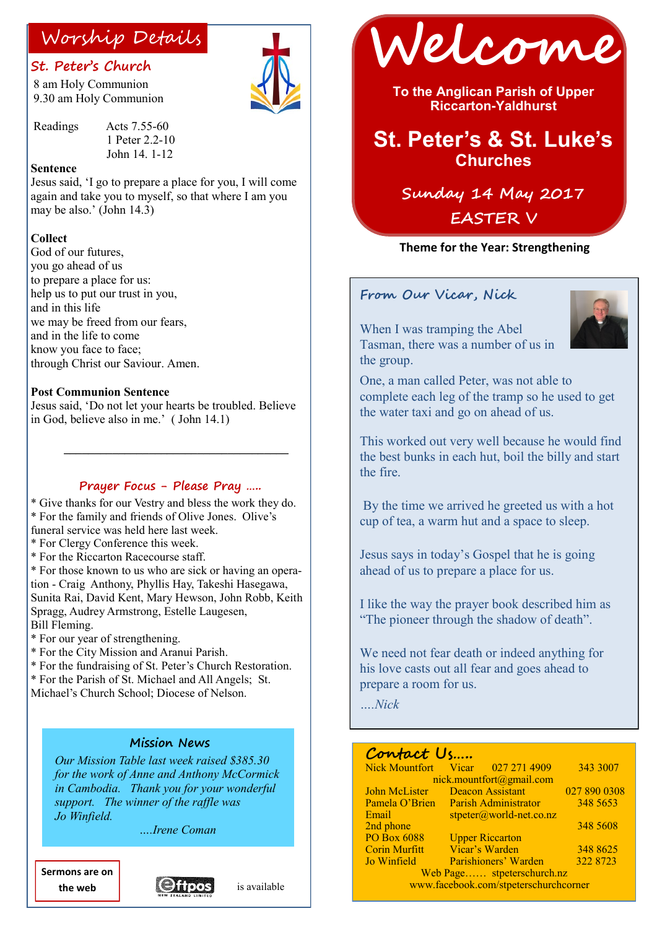### **St. Peter's Church**

8 am Holy Communion 9.30 am Holy Communion



Readings Acts 7.55-60 1 Peter 2.2-10 John 14. 1-12

#### **Sentence**

Jesus said, 'I go to prepare a place for you, I will come again and take you to myself, so that where I am you may be also.' (John 14.3)

#### **Collect**

God of our futures you go ahead of us to prepare a place for us: help us to put our trust in you, and in this life we may be freed from our fears, and in the life to come know you face to face: through Christ our Saviour. Amen.

#### **Post Communion Sentence**

Jesus said, 'Do not let your hearts be troubled. Believe in God, believe also in me.' ( John 14.1)

 **\_\_\_\_\_\_\_\_\_\_\_\_\_\_\_\_\_\_\_\_\_\_\_\_\_\_\_\_\_\_\_\_\_\_\_\_\_**

#### **Prayer Focus - Please Pray …..**

\* Give thanks for our Vestry and bless the work they do. \* For the family and friends of Olive Jones. Olive's funeral service was held here last week.

- \* For Clergy Conference this week.
- \* For the Riccarton Racecourse staff.

\* For those known to us who are sick or having an operation - Craig Anthony, Phyllis Hay, Takeshi Hasegawa, Sunita Rai, David Kent, Mary Hewson, John Robb, Keith Spragg, Audrey Armstrong, Estelle Laugesen, Bill Fleming.

- \* For our year of strengthening.
- \* For the City Mission and Aranui Parish.
- \* For the fundraising of St. Peter's Church Restoration.

\* For the Parish of St. Michael and All Angels; St.

Michael's Church School; Diocese of Nelson.

#### **Mission News**

*Our Mission Table last week raised \$385.30 for the work of Anne and Anthony McCormick in Cambodia. Thank you for your wonderful support. The winner of the raffle was Jo Winfield.* 

*….Irene Coman* 

**Sermons are on the web**





Worship Details **Welcome** 

**To the Anglican Parish of Upper Riccarton-Yaldhurst**

## **St. Peter's & St. Luke's Churches**

# **Sunday 14 May 2017 EASTER V**

#### **Theme for the Year: Strengthening**

#### **From Our Vicar, Nick**

When I was tramping the Abel Tasman, there was a number of us in the group.



One, a man called Peter, was not able to complete each leg of the tramp so he used to get the water taxi and go on ahead of us.

This worked out very well because he would find the best bunks in each hut, boil the billy and start the fire.

By the time we arrived he greeted us with a hot cup of tea, a warm hut and a space to sleep.

Jesus says in today's Gospel that he is going ahead of us to prepare a place for us.

I like the way the prayer book described him as "The pioneer through the shadow of death".

We need not fear death or indeed anything for his love casts out all fear and goes ahead to prepare a room for us.

*….Nick*

### **Contact Us…..**

| Nick Mountfort Vicar 027 271 4909     |                                   |                        | 343 3007     |
|---------------------------------------|-----------------------------------|------------------------|--------------|
| nick.mountfort@gmail.com              |                                   |                        |              |
| John McLister                         | <b>Deacon Assistant</b>           |                        | 027 890 0308 |
| Pamela O'Brien                        | Parish Administrator              |                        | 348 5653     |
| Email                                 | $stpeter(\omega)$ world-net.co.nz |                        |              |
| 2nd phone                             |                                   |                        | 348 5608     |
| <b>PO Box 6088</b>                    |                                   | <b>Upper Riccarton</b> |              |
| <b>Corin Murfitt</b>                  |                                   | Vicar's Warden         | 348 8625     |
| Jo Winfield                           |                                   | Parishioners' Warden   | 322 8723     |
| Web Page stpeterschurch.nz            |                                   |                        |              |
| www.facebook.com/stpeterschurchcorner |                                   |                        |              |